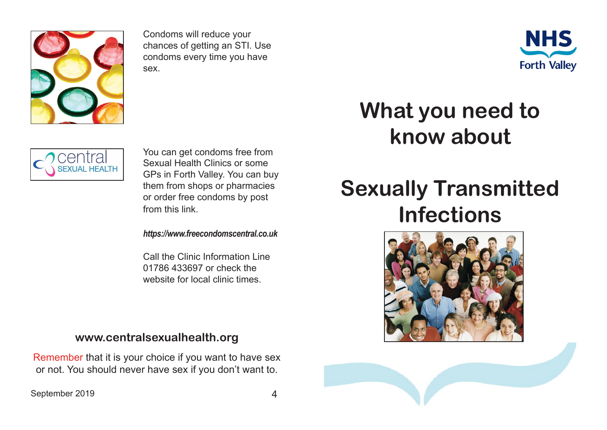

Condoms will reduce your chances of getting an STI. Use condoms every time you have sex.





You can get condoms free from Sexual Health Clinics or some GPs in Forth Valley. You can buy them from shops or pharmacies or order free condoms by post from this link.

*https://www.freecondomscentral.co.uk*

Call the Clinic Information Line 01786 433697 or check the website for local clinic times.

## **www.centralsexualhealth.org**

Remember that it is your choice if you want to have sex or not. You should never have sex if you don't want to.

## **What you need to know about**

## **Sexually Transmitted Infections**